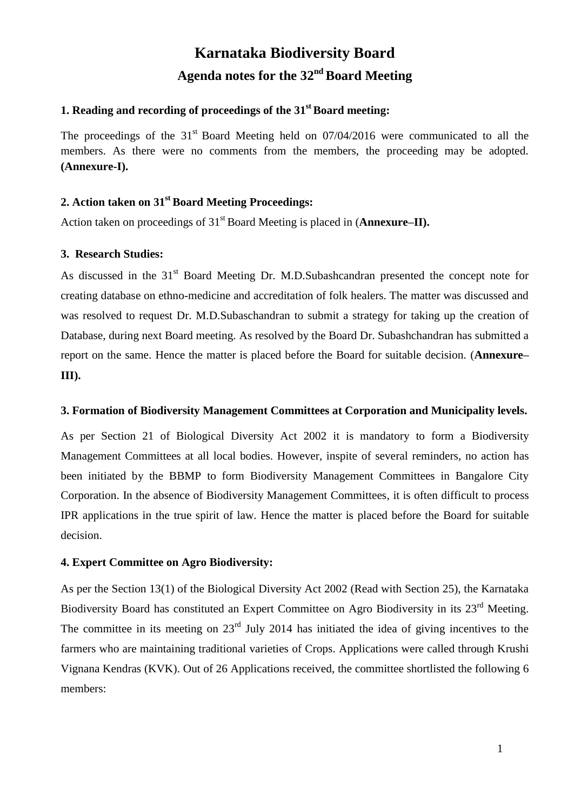# **Karnataka Biodiversity Board** Agenda notes for the 32<sup>nd</sup> Board Meeting

# **1. Reading and recording of proceedings of the 31 st Board meeting:**

The proceedings of the  $31<sup>st</sup>$  Board Meeting held on 07/04/2016 were communicated to all the members. As there were no comments from the members, the proceeding may be adopted. **(Annexure-I).**

# **2. Action taken on 31 st Board Meeting Proceedings:**

Action taken on proceedings of 31<sup>st</sup> Board Meeting is placed in (Annexure–II).

## **3. Research Studies:**

As discussed in the 31<sup>st</sup> Board Meeting Dr. M.D.Subashcandran presented the concept note for creating database on ethno-medicine and accreditation of folk healers. The matter was discussed and was resolved to request Dr. M.D.Subaschandran to submit a strategy for taking up the creation of Database, during next Board meeting. As resolved by the Board Dr. Subashchandran has submitted a report on the same. Hence the matter is placed before the Board for suitable decision. (**Annexure– III).**

#### **3. Formation of Biodiversity Management Committees at Corporation and Municipality levels.**

As per Section 21 of Biological Diversity Act 2002 it is mandatory to form a Biodiversity Management Committees at all local bodies. However, inspite of several reminders, no action has been initiated by the BBMP to form Biodiversity Management Committees in Bangalore City Corporation. In the absence of Biodiversity Management Committees, it is often difficult to process IPR applications in the true spirit of law. Hence the matter is placed before the Board for suitable decision.

#### **4. Expert Committee on Agro Biodiversity:**

As per the Section 13(1) of the Biological Diversity Act 2002 (Read with Section 25), the Karnataka Biodiversity Board has constituted an Expert Committee on Agro Biodiversity in its 23<sup>rd</sup> Meeting. The committee in its meeting on  $23<sup>rd</sup>$  July 2014 has initiated the idea of giving incentives to the farmers who are maintaining traditional varieties of Crops. Applications were called through Krushi Vignana Kendras (KVK). Out of 26 Applications received, the committee shortlisted the following 6 members: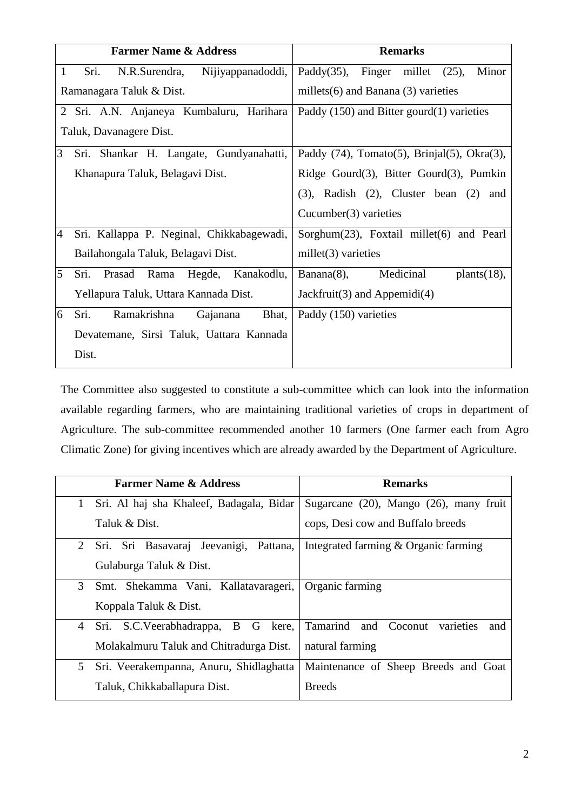|                | <b>Farmer Name &amp; Address</b>           | <b>Remarks</b>                                             |  |  |
|----------------|--------------------------------------------|------------------------------------------------------------|--|--|
| $\mathbf{1}$   | Sri.<br>Nijiyappanadoddi,<br>N.R.Surendra, | Paddy $(35)$ ,<br>Finger millet $(25)$ ,<br>Minor          |  |  |
|                | Ramanagara Taluk & Dist.                   | millets $(6)$ and Banana $(3)$ varieties                   |  |  |
|                | 2 Sri. A.N. Anjaneya Kumbaluru, Harihara   | Paddy $(150)$ and Bitter gourd $(1)$ varieties             |  |  |
|                | Taluk, Davanagere Dist.                    |                                                            |  |  |
| 3              | Sri. Shankar H. Langate, Gundyanahatti,    | Paddy $(74)$ , Tomato $(5)$ , Brinjal $(5)$ , Okra $(3)$ , |  |  |
|                | Khanapura Taluk, Belagavi Dist.            | Ridge Gourd(3), Bitter Gourd(3), Pumkin                    |  |  |
|                |                                            | $(3)$ , Radish $(2)$ , Cluster bean $(2)$ and              |  |  |
|                |                                            | Cucumber $(3)$ varieties                                   |  |  |
| $\overline{4}$ | Sri. Kallappa P. Neginal, Chikkabagewadi,  | Sorghum(23), Foxtail millet(6) and Pearl                   |  |  |
|                | Bailahongala Taluk, Belagavi Dist.         | millet $(3)$ varieties                                     |  |  |
| 5              | Prasad Rama<br>Hegde, Kanakodlu,<br>Sri.   | Medicinal<br>$Banana(8)$ ,<br>plants(18),                  |  |  |
|                | Yellapura Taluk, Uttara Kannada Dist.      | Jackfruit(3) and Appemidi(4)                               |  |  |
| 6              | Sri.<br>Ramakrishna<br>Bhat,<br>Gajanana   | Paddy (150) varieties                                      |  |  |
|                | Devatemane, Sirsi Taluk, Uattara Kannada   |                                                            |  |  |
|                | Dist.                                      |                                                            |  |  |

The Committee also suggested to constitute a sub-committee which can look into the information available regarding farmers, who are maintaining traditional varieties of crops in department of Agriculture. The sub-committee recommended another 10 farmers (One farmer each from Agro Climatic Zone) for giving incentives which are already awarded by the Department of Agriculture.

| <b>Farmer Name &amp; Address</b>               | <b>Remarks</b>                           |  |
|------------------------------------------------|------------------------------------------|--|
| Sri. Al haj sha Khaleef, Badagala, Bidar<br>1  | Sugarcane (20), Mango (26), many fruit   |  |
| Taluk & Dist.                                  | cops, Desi cow and Buffalo breeds        |  |
| Sri. Sri Basavaraj Jeevanigi,<br>Pattana,<br>2 | Integrated farming & Organic farming     |  |
| Gulaburga Taluk & Dist.                        |                                          |  |
| 3<br>Smt. Shekamma Vani, Kallatavarageri,      | Organic farming                          |  |
| Koppala Taluk & Dist.                          |                                          |  |
| Sri. S.C.Veerabhadrappa, B G kere,<br>4        | Tamarind and Coconut<br>varieties<br>and |  |
| Molakalmuru Taluk and Chitradurga Dist.        | natural farming                          |  |
| 5<br>Sri. Veerakempanna, Anuru, Shidlaghatta   | Maintenance of Sheep Breeds and Goat     |  |
| Taluk, Chikkaballapura Dist.                   | <b>Breeds</b>                            |  |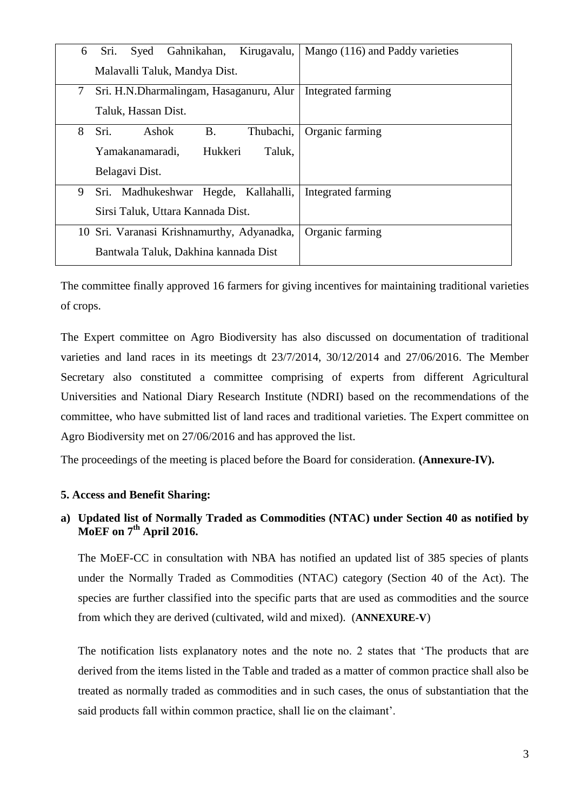| 6                                          | Sri.                                    | Syed         |  | Gahnikahan,        | Kirugavalu,     |  | Mango (116) and Paddy varieties |
|--------------------------------------------|-----------------------------------------|--------------|--|--------------------|-----------------|--|---------------------------------|
|                                            | Malavalli Taluk, Mandya Dist.           |              |  |                    |                 |  |                                 |
| 7                                          | Sri. H.N.Dharmalingam, Hasaganuru, Alur |              |  |                    |                 |  | Integrated farming              |
|                                            | Taluk, Hassan Dist.                     |              |  |                    |                 |  |                                 |
| 8                                          | Sri.                                    | Ashok        |  | <b>B.</b>          | Thubachi,       |  | Organic farming                 |
|                                            | Hukkeri<br>Yamakanamaradi,<br>Taluk,    |              |  |                    |                 |  |                                 |
|                                            | Belagavi Dist.                          |              |  |                    |                 |  |                                 |
| 9                                          | Sri.                                    | Madhukeshwar |  | Hegde, Kallahalli, |                 |  | Integrated farming              |
|                                            | Sirsi Taluk, Uttara Kannada Dist.       |              |  |                    |                 |  |                                 |
| 10 Sri. Varanasi Krishnamurthy, Adyanadka, |                                         |              |  |                    | Organic farming |  |                                 |
| Bantwala Taluk, Dakhina kannada Dist       |                                         |              |  |                    |                 |  |                                 |

The committee finally approved 16 farmers for giving incentives for maintaining traditional varieties of crops.

The Expert committee on Agro Biodiversity has also discussed on documentation of traditional varieties and land races in its meetings dt 23/7/2014, 30/12/2014 and 27/06/2016. The Member Secretary also constituted a committee comprising of experts from different Agricultural Universities and National Diary Research Institute (NDRI) based on the recommendations of the committee, who have submitted list of land races and traditional varieties. The Expert committee on Agro Biodiversity met on 27/06/2016 and has approved the list.

The proceedings of the meeting is placed before the Board for consideration. **(Annexure-IV).**

#### **5. Access and Benefit Sharing:**

# **a) Updated list of Normally Traded as Commodities (NTAC) under Section 40 as notified by MoEF on 7th April 2016.**

The MoEF-CC in consultation with NBA has notified an updated list of 385 species of plants under the Normally Traded as Commodities (NTAC) category (Section 40 of the Act). The species are further classified into the specific parts that are used as commodities and the source from which they are derived (cultivated, wild and mixed). (**ANNEXURE-V**)

The notification lists explanatory notes and the note no. 2 states that 'The products that are derived from the items listed in the Table and traded as a matter of common practice shall also be treated as normally traded as commodities and in such cases, the onus of substantiation that the said products fall within common practice, shall lie on the claimant'.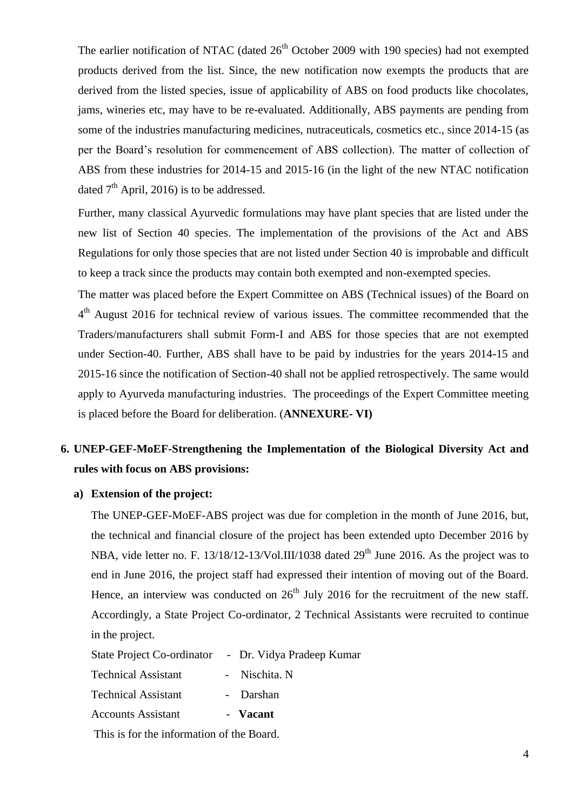The earlier notification of NTAC (dated  $26<sup>th</sup>$  October 2009 with 190 species) had not exempted products derived from the list. Since, the new notification now exempts the products that are derived from the listed species, issue of applicability of ABS on food products like chocolates, jams, wineries etc, may have to be re-evaluated. Additionally, ABS payments are pending from some of the industries manufacturing medicines, nutraceuticals, cosmetics etc., since 2014-15 (as per the Board's resolution for commencement of ABS collection). The matter of collection of ABS from these industries for 2014-15 and 2015-16 (in the light of the new NTAC notification dated  $7<sup>th</sup>$  April, 2016) is to be addressed.

Further, many classical Ayurvedic formulations may have plant species that are listed under the new list of Section 40 species. The implementation of the provisions of the Act and ABS Regulations for only those species that are not listed under Section 40 is improbable and difficult to keep a track since the products may contain both exempted and non-exempted species.

The matter was placed before the Expert Committee on ABS (Technical issues) of the Board on 4<sup>th</sup> August 2016 for technical review of various issues. The committee recommended that the Traders/manufacturers shall submit Form-I and ABS for those species that are not exempted under Section-40. Further, ABS shall have to be paid by industries for the years 2014-15 and 2015-16 since the notification of Section-40 shall not be applied retrospectively. The same would apply to Ayurveda manufacturing industries. The proceedings of the Expert Committee meeting is placed before the Board for deliberation. (**ANNEXURE- VI)**

# **6. UNEP-GEF-MoEF-Strengthening the Implementation of the Biological Diversity Act and rules with focus on ABS provisions:**

#### **a) Extension of the project:**

The UNEP-GEF-MoEF-ABS project was due for completion in the month of June 2016, but, the technical and financial closure of the project has been extended upto December 2016 by NBA, vide letter no. F. 13/18/12-13/Vol.III/1038 dated  $29<sup>th</sup>$  June 2016. As the project was to end in June 2016, the project staff had expressed their intention of moving out of the Board. Hence, an interview was conducted on  $26<sup>th</sup>$  July 2016 for the recruitment of the new staff. Accordingly, a State Project Co-ordinator, 2 Technical Assistants were recruited to continue in the project.

State Project Co-ordinator - Dr. Vidya Pradeep Kumar

Technical Assistant - Nischita. N

Technical Assistant - Darshan

Accounts Assistant - **Vacant** 

This is for the information of the Board.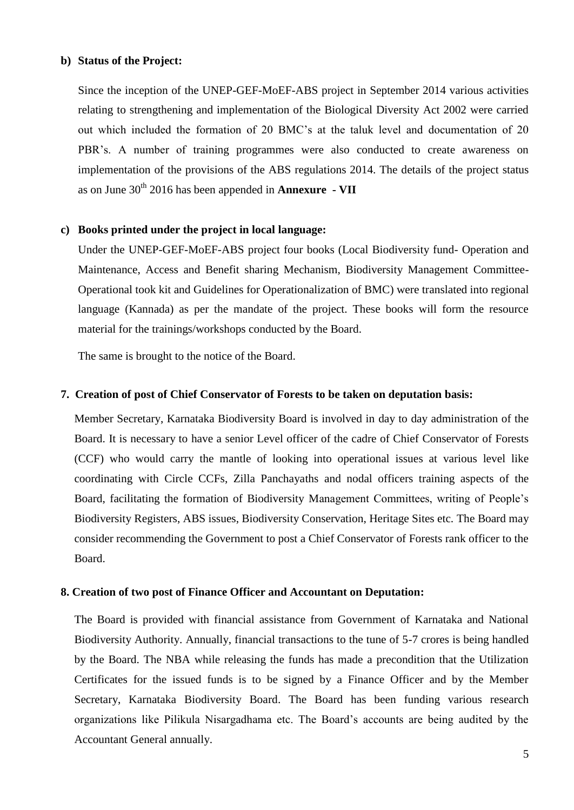#### **b) Status of the Project:**

Since the inception of the UNEP-GEF-MoEF-ABS project in September 2014 various activities relating to strengthening and implementation of the Biological Diversity Act 2002 were carried out which included the formation of 20 BMC's at the taluk level and documentation of 20 PBR's. A number of training programmes were also conducted to create awareness on implementation of the provisions of the ABS regulations 2014. The details of the project status as on June 30th 2016 has been appended in **Annexure - VII**

#### **c) Books printed under the project in local language:**

Under the UNEP-GEF-MoEF-ABS project four books (Local Biodiversity fund- Operation and Maintenance, Access and Benefit sharing Mechanism, Biodiversity Management Committee-Operational took kit and Guidelines for Operationalization of BMC) were translated into regional language (Kannada) as per the mandate of the project. These books will form the resource material for the trainings/workshops conducted by the Board.

The same is brought to the notice of the Board.

#### **7. Creation of post of Chief Conservator of Forests to be taken on deputation basis:**

Member Secretary, Karnataka Biodiversity Board is involved in day to day administration of the Board. It is necessary to have a senior Level officer of the cadre of Chief Conservator of Forests (CCF) who would carry the mantle of looking into operational issues at various level like coordinating with Circle CCFs, Zilla Panchayaths and nodal officers training aspects of the Board, facilitating the formation of Biodiversity Management Committees, writing of People's Biodiversity Registers, ABS issues, Biodiversity Conservation, Heritage Sites etc. The Board may consider recommending the Government to post a Chief Conservator of Forests rank officer to the Board.

#### **8. Creation of two post of Finance Officer and Accountant on Deputation:**

The Board is provided with financial assistance from Government of Karnataka and National Biodiversity Authority. Annually, financial transactions to the tune of 5-7 crores is being handled by the Board. The NBA while releasing the funds has made a precondition that the Utilization Certificates for the issued funds is to be signed by a Finance Officer and by the Member Secretary, Karnataka Biodiversity Board. The Board has been funding various research organizations like Pilikula Nisargadhama etc. The Board's accounts are being audited by the Accountant General annually.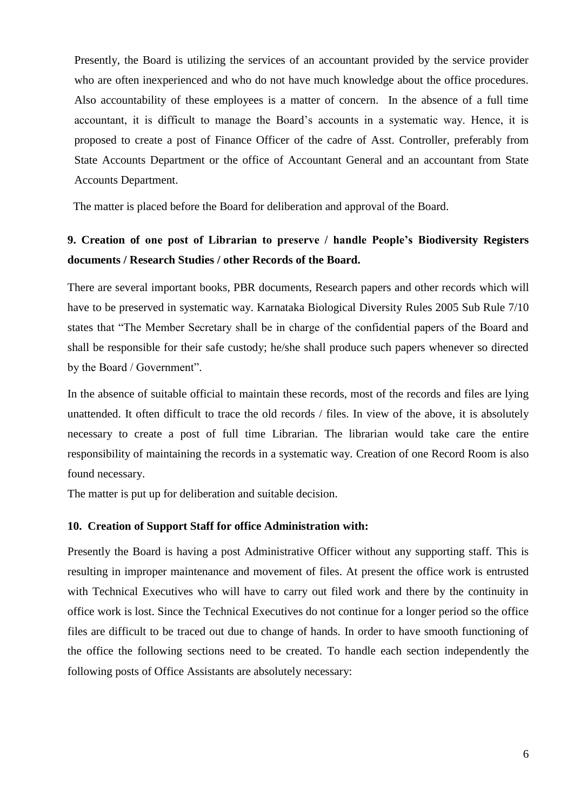Presently, the Board is utilizing the services of an accountant provided by the service provider who are often inexperienced and who do not have much knowledge about the office procedures. Also accountability of these employees is a matter of concern. In the absence of a full time accountant, it is difficult to manage the Board's accounts in a systematic way. Hence, it is proposed to create a post of Finance Officer of the cadre of Asst. Controller, preferably from State Accounts Department or the office of Accountant General and an accountant from State Accounts Department.

The matter is placed before the Board for deliberation and approval of the Board.

# **9. Creation of one post of Librarian to preserve / handle People's Biodiversity Registers documents / Research Studies / other Records of the Board.**

There are several important books, PBR documents, Research papers and other records which will have to be preserved in systematic way. Karnataka Biological Diversity Rules 2005 Sub Rule 7/10 states that "The Member Secretary shall be in charge of the confidential papers of the Board and shall be responsible for their safe custody; he/she shall produce such papers whenever so directed by the Board / Government".

In the absence of suitable official to maintain these records, most of the records and files are lying unattended. It often difficult to trace the old records / files. In view of the above, it is absolutely necessary to create a post of full time Librarian. The librarian would take care the entire responsibility of maintaining the records in a systematic way. Creation of one Record Room is also found necessary.

The matter is put up for deliberation and suitable decision.

# **10. Creation of Support Staff for office Administration with:**

Presently the Board is having a post Administrative Officer without any supporting staff. This is resulting in improper maintenance and movement of files. At present the office work is entrusted with Technical Executives who will have to carry out filed work and there by the continuity in office work is lost. Since the Technical Executives do not continue for a longer period so the office files are difficult to be traced out due to change of hands. In order to have smooth functioning of the office the following sections need to be created. To handle each section independently the following posts of Office Assistants are absolutely necessary: